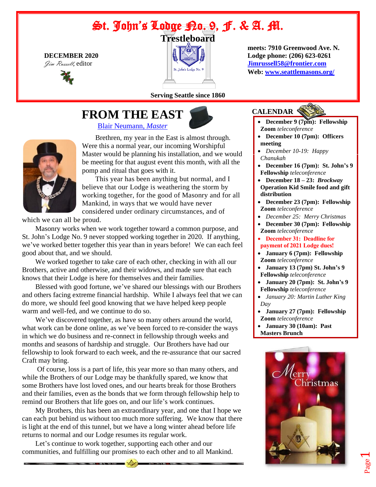# St. John's Ladge Ba. 9, F. & A. M.





**Serving Seattle since 1860**

# **FROM THE EAST**

[Blair Neumann,](mailto:blairn@outlook.com) *Master*



Brethren, my year in the East is almost through. Were this a normal year, our incoming Worshipful Master would be planning his installation, and we would be meeting for that august event this month, with all the pomp and ritual that goes with it.

This year has been anything but normal, and I believe that our Lodge is weathering the storm by working together, for the good of Masonry and for all Mankind, in ways that we would have never considered under ordinary circumstances, and of

which we can all be proud.

Masonry works when we work together toward a common purpose, and St. John's Lodge No. 9 never stopped working together in 2020. If anything, we've worked better together this year than in years before! We can each feel good about that, and we should.

We worked together to take care of each other, checking in with all our Brothers, active and otherwise, and their widows, and made sure that each knows that their Lodge is here for themselves and their families.

Blessed with good fortune, we've shared our blessings with our Brothers and others facing extreme financial hardship. While I always feel that we can do more, we should feel good knowing that we have helped keep people warm and well-fed, and we continue to do so.

We've discovered together, as have so many others around the world, what work can be done online, as we've been forced to re-consider the ways in which we do business and re-connect in fellowship through weeks and months and seasons of hardship and struggle. Our Brothers have had our fellowship to look forward to each week, and the re-assurance that our sacred Craft may bring.

Of course, loss is a part of life, this year more so than many others, and while the Brothers of our Lodge may be thankfully spared, we know that some Brothers have lost loved ones, and our hearts break for those Brothers and their families, even as the bonds that we form through fellowship help to remind our Brothers that life goes on, and our life's work continues.

My Brothers, this has been an extraordinary year, and one that I hope we can each put behind us without too much more suffering. We know that there is light at the end of this tunnel, but we have a long winter ahead before life returns to normal and our Lodge resumes its regular work.

Let's continue to work together, supporting each other and our communities, and fulfilling our promises to each other and to all Mankind.

 **meets: 7910 Greenwood Ave. N. DECEMBER 2020 Lodge phone: (206) 623-0261** Jim Russell, editor *[Jimrussell58@frontier.com](mailto:jimrussell58@frontier.com)*<br>*St. John's Lodge No. 9* **<b>Jimrussell58@frontier.com Web[: www.seattlemasons.org/](www.seattlemasons.org/)**

# **CALENDAR**

- **December 9 (7pm): Fellowship Zoom** *teleconference*
- **December 10 (7pm): Officers meeting**
- *December 10-19: Happy Chanukah*
- **December 16 (7pm): St. John's 9 Fellowship** *teleconference*
- **December 18 – 23:** *Brockway* **Operation Kid Smile food and gift distribution**
- **December 23 (7pm): Fellowship Zoom** *teleconference*
- *December 25: Merry Christmas*
- **December 30 (7pm): Fellowship Zoom** *teleconference*
- **December 31: Deadline for payment of 2021 Lodge dues!**
- **January 6 (7pm): Fellowship Zoom** *teleconference*
- **January 13 (7pm) St. John's 9 Fellowship** *teleconference*
- **January 20 (7pm): St. John's 9 Fellowship** *teleconference*
- *January 20: Martin Luther King Day*
- **January 27 (7pm): Fellowship Zoom** *teleconference*
- **January 30 (10am): Past**
- **Masters Brunch**

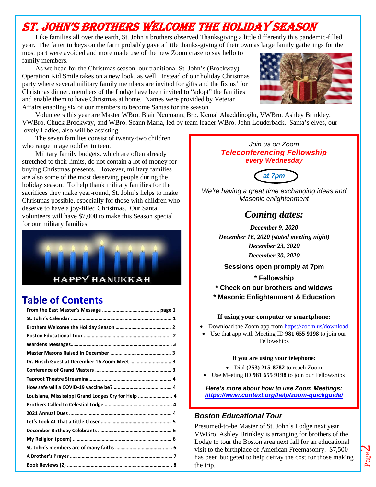# St. John's Brothers Welcome the Holiday Season

Like families all over the earth, St. John's brothers observed Thanksgiving a little differently this pandemic-filled year. The fatter turkeys on the farm probably gave a little thanks-giving of their own as large family gatherings for the most part were avoided and more made use of the new Zoom craze to say hello to

family members. As we head for the Christmas season, our traditional St. John's (Brockway)

Operation Kid Smile takes on a new look, as well. Instead of our holiday Christmas party where several military family members are invited for gifts and the fixins' for Christmas dinner, members of the Lodge have been invited to "adopt" the families and enable them to have Christmas at home. Names were provided by Veteran Affairs enabling six of our members to become Santas for the season.



Volunteers this year are Master WBro. Blair Neumann, Bro. Kemal Alaeddinoğlu, VWBro. Ashley Brinkley, VWBro. Chuck Brockway, and WBro. Seann Maria, led by team leader WBro. John Louderback. Santa's elves, our lovely Ladies, also will be assisting.

The seven families consist of twenty-two children who range in age toddler to teen.

Military family budgets, which are often already stretched to their limits, do not contain a lot of money for buying Christmas presents. However, military families are also some of the most deserving people during the holiday season. To help thank military families for the sacrifices they make year-round, St. John's helps to make Christmas possible, especially for those with children who deserve to have a joy-filled Christmas. Our Santa volunteers will have \$7,000 to make this Season special for our military families.



# **Table of Contents**

| Dr. Hirsch Guest at December 16 Zoom Meet  3 |                                                     |
|----------------------------------------------|-----------------------------------------------------|
|                                              |                                                     |
|                                              |                                                     |
|                                              |                                                     |
|                                              |                                                     |
|                                              |                                                     |
|                                              |                                                     |
|                                              |                                                     |
|                                              |                                                     |
|                                              |                                                     |
|                                              |                                                     |
|                                              | Louisiana, Mississippi Grand Lodges Cry for Help  4 |
|                                              |                                                     |
|                                              |                                                     |
|                                              |                                                     |
|                                              |                                                     |
|                                              |                                                     |
|                                              |                                                     |
|                                              |                                                     |
|                                              |                                                     |

#### *Join us on Zoom Teleconferencing Fellowship every Wednesday*



*We're having a great time exchanging ideas and Masonic enlightenment*

# *Coming dates:*

*December 9, 2020 December 16, 2020 (stated meeting night) December 23, 2020 December 30, 2020*

#### **Sessions open promply at 7pm**

**\* Fellowship**

- **\* Check on our brothers and widows**
- **\* Masonic Enlightenment & Education**

#### **If using your computer or smartphone:**

- Download the Zoom app from<https://zoom.us/download>
- Use that app with Meeting ID **981 655 9198** to join our Fellowships

#### **If you are using your telephone:**

- Dial **(253) 215-8782** to reach Zoom
- Use Meeting ID **981 655 9198** to join our Fellowships

*Here's more about how to use Zoom Meetings: <https://www.context.org/help/zoom-quickguide/>*

#### *Boston Educational Tour*

Presumed-to-be Master of St. John's Lodge next year VWBro. Ashley Brinkley is arranging for brothers of the Lodge to tour the Boston area next fall for an educational visit to the birthplace of American Freemasonry. \$7,500 has been budgeted to help defray the cost for those making the trip.

Page  $\boldsymbol{\mathsf{N}}$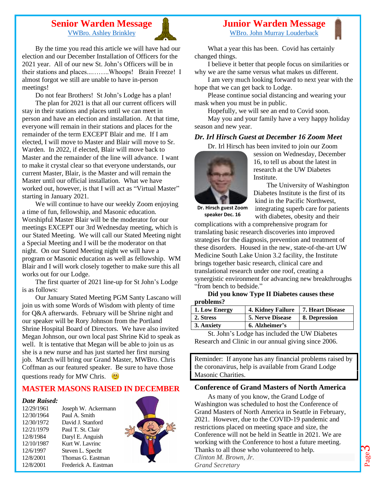#### **Senior Warden Message** [VWBro. Ashley Brinkley](mailto:threehounds@aol.com)



By the time you read this article we will have had our election and our December Installation of Officers for the 2021 year. All of our new St. John's Officers will be in their stations and places...……..Whoops! Brain Freeze! I almost forgot we still are unable to have in-person meetings!

Do not fear Brothers! St John's Lodge has a plan!

The plan for 2021 is that all our current officers will stay in their stations and places until we can meet in person and have an election and installation. At that time, everyone will remain in their stations and places for the remainder of the term EXCEPT Blair and me. If I am elected, I will move to Master and Blair will move to Sr. Warden. In 2022, if elected, Blair will move back to Master and the remainder of the line will advance. I want to make it crystal clear so that everyone understands, our current Master, Blair, is the Master and will remain the Master until our official installation. What we have worked out, however, is that I will act as "Virtual Master" starting in January 2021.

We will continue to have our weekly Zoom enjoying a time of fun, fellowship, and Masonic education. Worshipful Master Blair will be the moderator for our meetings EXCEPT our 3rd Wednesday meeting, which is our Stated Meeting. We will call our Stated Meeting night a Special Meeting and I will be the moderator on that night. On our Stated Meeting night we will have a program or Masonic education as well as fellowship. WM Blair and I will work closely together to make sure this all works out for our Lodge.

The first quarter of 2021 line-up for St John's Lodge is as follows:

Our January Stated Meeting PGM Santy Lascano will join us with some Words of Wisdom with plenty of time for Q&A afterwards. February will be Shrine night and our speaker will be Rory Johnson from the Portland Shrine Hospital Board of Directors. We have also invited Megan Johnson, our own local past Shrine Kid to speak as well. It is tentative that Megan will be able to join us as she is a new nurse and has just started her first nursing job. March will bring our Grand Master, MWBro. Chris Coffman as our featured speaker. Be sure to have those questions ready for MW Chris.  $\Box$ 

#### **MASTER MASONS RAISED IN DECEMBER**

#### *Date Raised:*

12/29/1961 Joseph W. Ackermann 12/30/1964 Paul A. Smith 12/30/1972 David J. Stanford 12/21/1979 Paul T. St. Clair 12/8/1984 Daryl E. Anguish 12/10/1987 Kurt W. Lavrinc 12/6/1997 Steven L. Specht 12/8/2001 Thomas G. Eastman 12/8/2001 Frederick A. Eastman



[WBro. John Murray Louderback](mailto:johnmlouderback@outlook.com)

What a year this has been. Covid has certainly changed things.

I believe it better that people focus on similarities or why we are the same versus what makes us different.

I am very much looking forward to next year with the hope that we can get back to Lodge.

Please continue social distancing and wearing your mask when you must be in public.

Hopefully, we will see an end to Covid soon. May you and your family have a very happy holiday season and new year.

#### *Dr. Irl Hirsch Guest at December 16 Zoom Meet*

Dr. Irl Hirsch has been invited to join our Zoom



session on Wednesday, December 16, to tell us about the latest in research at the UW Diabetes **Institute** 

The University of Washington Diabetes Institute is the first of its kind in the Pacific Northwest, integrating superb care for patients with diabetes, obesity and their

**Dr. Hirsch guest Zoom speaker Dec. 16**

complications with a comprehensive program for translating basic research discoveries into improved strategies for the diagnosis, prevention and treatment of these disorders. Housed in the new, state-of-the-art UW Medicine South Lake Union 3.2 facility, the Institute brings together basic research, clinical care and translational research under one roof, creating a synergistic environment for advancing new breakthroughs "from bench to bedside."

#### **Did you know Type II Diabetes causes these problems?**

| 1. Low Energy | 4. Kidney Failure       | 7. Heart Disease |
|---------------|-------------------------|------------------|
| 2. Stress     | <b>5. Nerve Disease</b> | 8. Depression    |
| 3. Anxiety    | 6. Alzheimer's          |                  |

St. John's Lodge has included the UW Diabetes Research and Clinic in our annual giving since 2006.

Reminder: If anyone has any financial problems raised by the coronavirus, help is available from Grand Lodge Masonic Charities.

#### **Conference of Grand Masters of North America**

As many of you know, the Grand Lodge of Washington was scheduled to host the Conference of Grand Masters of North America in Seattle in February, 2021. However, due to the COVID-19 pandemic and restrictions placed on meeting space and size, the Conference will not be held in Seattle in 2021. We are working with the Conference to host a future meeting. Thanks to all those who volunteered to help. *Clinton M. Brown, Jr. Grand Secretary*

Page m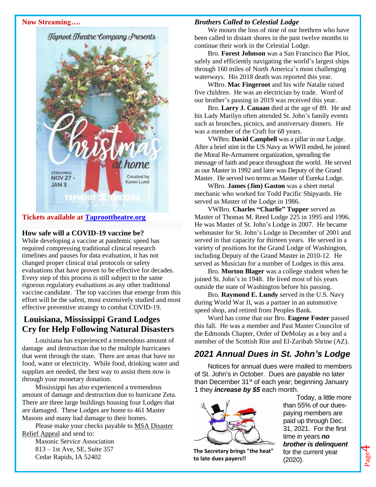#### **Now Streaming….**



### **How safe will a COVID-19 vaccine be?**

While developing a vaccine at pandemic speed has required compressing traditional clinical research timelines and pauses for data evaluation, it has not changed proper clinical trial protocols or safety evaluations that have proven to be effective for decades. Every step of this process is still subject to the same rigorous regulatory evaluations as any other traditional vaccine candidate. The top vaccines that emerge from this effort will be the safest, most extensively studied and most effective preventive strategy to combat COVID-19.

## **Louisiana, Mississippi Grand Lodges Cry for Help Following Natural Disasters**

Louisiana has experienced a tremendous amount of damage and destruction due to the multiple hurricanes that went through the state. There are areas that have no food, water or electricity. While food, drinking water and supplies are needed, the best way to assist them now is through your monetary donation.

Mississippi has also experienced a tremendous amount of damage and destruction due to hurricane Zeta. There are three large buildings housing four Lodges that are damaged. These Lodges are home to 461 Master Masons and many had damage to their homes.

Please make your checks payable to MSA Disaster Relief Appeal and send to:

Masonic Service Association 813 – 1st Ave, SE, Suite 357 Cedar Rapids, IA 52402

#### *Brothers Called to Celestial Lodge*

We mourn the loss of nine of our brethren who have been called to distant shores in the past twelve months to continue their work in the Celestial Lodge.

Bro. **Forest Johnson** was a San Francisco Bar Pilot, safely and efficiently navigating the world's largest ships through 160 miles of North America's most challenging waterways. His 2018 death was reported this year.

WBro. **Mac Fingeroot** and his wife Natalie raised five children. He was an electrician by trade. Word of our brother's passing in 2019 was received this year.

Bro. **Larry J. Canaan** died at the age of 89. He and his Lady Marilyn often attended St. John's family events such as brunches, picnics, and anniversary dinners. He was a member of the Craft for 68 years.

VWBro. **David Campbell** was a pillar in our Lodge. After a brief stint in the US Navy as WWII ended, he joined the Moral Re-Armament organization, spreading the message of faith and peace throughout the world. He served as our Master in 1992 and later was Deputy of the Grand Master. He served two terms as Master of Eureka Lodge.

WBro. **James (Jim) Gaston** was a sheet metal mechanic who worked for Todd Pacific Shipyards. He served as Master of the Lodge in 1986.

VWBro. **Charles "Charlie" Tupper** served as Master of Thomas M. Reed Lodge 225 in 1995 and 1996. He was Master of St. John's Lodge in 2007. He became webmaster for St. John's Lodge in December of 2001 and served in that capacity for thirteen years. He served in a variety of positions for the Grand Lodge of Washington, including Deputy of the Grand Master in 2010-12. He served as Musician for a number of Lodges in this area.

Bro. **Morton Blager** was a college student when he joined St. John's in 1948. He lived most of his years outside the state of Washington before his passing.

Bro. **Raymond E. Lundy** served in the U.S. Navy during World War II, was a partner in an automotive speed shop, and retired from Peoples Bank.

Word has come that our Bro. **Eugene Foster** passed this fall. He was a member and Past Master Councilor of the Edmonds Chapter, Order of DeMolay as a boy and a member of the Scottish Rite and El-Zaribah Shrine (AZ).

# *2021 Annual Dues in St. John's Lodge*

Notices for annual dues were mailed to members of St. John's in October. Dues are payable no later than December  $31<sup>st</sup>$  of each year; beginning January 1 they *increase by \$5* each month.



**The Secretary brings "the heat" to late dues payers!!**

Today, a little more than 55% of our duespaying members are paid up through Dec. 31, 2021. For the first time in years *no brother is delinquent* for the current year (2020).

Page 4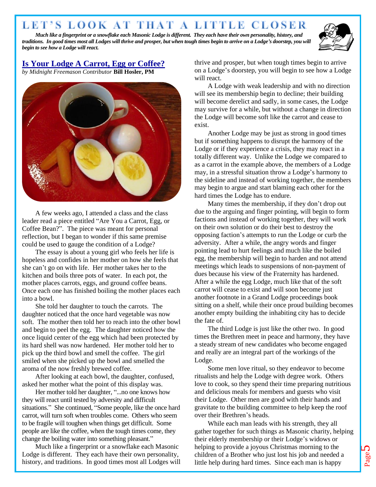# LET'S LOOK AT THAT A LITTLE CLOSER

*Much like a fingerprint or a snowflake each Masonic Lodge is different. They each have their own personality, history, and traditions. In good times most all Lodges will thrive and prosper, but when tough times begin to arrive on a Lodge's doorstep, you will begin to see how a Lodge will react.*



# **Is Your Lodge A Carrot, Egg or Coffee?**

*by Midnight Freemason Contributor* **Bill Hosler, PM**



A few weeks ago, I attended a class and the class leader read a piece entitled "Are You a Carrot, Egg, or Coffee Bean?". The piece was meant for personal reflection, but I began to wonder if this same premise could be used to gauge the condition of a Lodge?

The essay is about a young girl who feels her life is hopeless and confides in her mother on how she feels that she can't go on with life. Her mother takes her to the kitchen and boils three pots of water. In each pot, the mother places carrots, eggs, and ground coffee beans. Once each one has finished boiling the mother places each into a bowl.

She told her daughter to touch the carrots. The daughter noticed that the once hard vegetable was now soft. The mother then told her to reach into the other bowl and begin to peel the egg. The daughter noticed how the once liquid center of the egg which had been protected by its hard shell was now hardened. Her mother told her to pick up the third bowl and smell the coffee. The girl smiled when she picked up the bowl and smelled the aroma of the now freshly brewed coffee.

After looking at each bowl, the daughter, confused, asked her mother what the point of this display was.

Her mother told her daughter, "...no one knows how they will react until tested by adversity and difficult situations." She continued, "Some people, like the once hard carrot, will turn soft when troubles come. Others who seem to be fragile will toughen when things get difficult. Some people are like the coffee, when the tough times come, they change the boiling water into something pleasant."

Much like a fingerprint or a snowflake each Masonic Lodge is different. They each have their own personality, history, and traditions. In good times most all Lodges will thrive and prosper, but when tough times begin to arrive on a Lodge's doorstep, you will begin to see how a Lodge will react.

A Lodge with weak leadership and with no direction will see its membership begin to decline; their building will become derelict and sadly, in some cases, the Lodge may survive for a while, but without a change in direction the Lodge will become soft like the carrot and cease to exist.

Another Lodge may be just as strong in good times but if something happens to disrupt the harmony of the Lodge or if they experience a crisis, they may react in a totally different way. Unlike the Lodge we compared to as a carrot in the example above, the members of a Lodge may, in a stressful situation throw a Lodge's harmony to the sideline and instead of working together, the members may begin to argue and start blaming each other for the hard times the Lodge has to endure.

Many times the membership, if they don't drop out due to the arguing and finger pointing, will begin to form factions and instead of working together, they will work on their own solution or do their best to destroy the opposing faction's attempts to run the Lodge or curb the adversity. After a while, the angry words and finger pointing lead to hurt feelings and much like the boiled egg, the membership will begin to harden and not attend meetings which leads to suspensions of non-payment of dues because his view of the Fraternity has hardened. After a while the egg Lodge, much like that of the soft carrot will cease to exist and will soon become just another footnote in a Grand Lodge proceedings book sitting on a shelf, while their once proud building becomes another empty building the inhabiting city has to decide the fate of.

The third Lodge is just like the other two. In good times the Brethren meet in peace and harmony, they have a steady stream of new candidates who become engaged and really are an integral part of the workings of the Lodge.

Some men love ritual, so they endeavor to become ritualists and help the Lodge with degree work. Others love to cook, so they spend their time preparing nutritious and delicious meals for members and guests who visit their Lodge. Other men are good with their hands and gravitate to the building committee to help keep the roof over their Brethren's heads.

While each man leads with his strength, they all gather together for such things as Masonic charity, helping their elderly membership or their Lodge's widows or helping to provide a joyous Christmas morning to the children of a Brother who just lost his job and needed a little help during hard times. Since each man is happy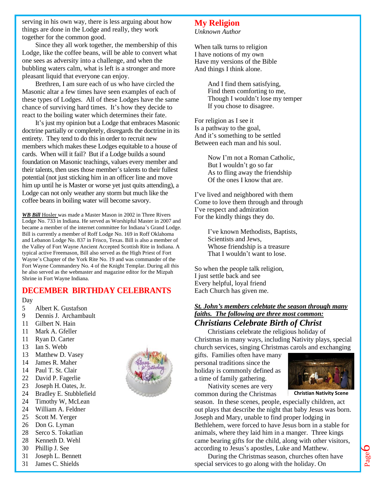serving in his own way, there is less arguing about how things are done in the Lodge and really, they work together for the common good.

Since they all work together, the membership of this Lodge, like the coffee beans, will be able to convert what one sees as adversity into a challenge, and when the bubbling waters calm, what is left is a stronger and more pleasant liquid that everyone can enjoy.

Brethren, I am sure each of us who have circled the Masonic altar a few times have seen examples of each of these types of Lodges. All of these Lodges have the same chance of surviving hard times. It's how they decide to react to the boiling water which determines their fate.

It's just my opinion but a Lodge that embraces Masonic doctrine partially or completely, disregards the doctrine in its entirety. They tend to do this in order to recruit new members which makes these Lodges equitable to a house of cards. When will it fail? But if a Lodge builds a sound foundation on Masonic teachings, values every member and their talents, then uses those member's talents to their fullest potential (not just sticking him in an officer line and move him up until he is Master or worse yet just quits attending), a Lodge can not only weather any storm but much like the coffee beans in boiling water will become savory.

*WB Bill* Hosler was made a Master Mason in 2002 in Three Rivers Lodge No. 733 in Indiana. He served as Worshipful Master in 2007 and became a member of the internet committee for Indiana's Grand Lodge. Bill is currently a member of Roff Lodge No. 169 in Roff Oklahoma and Lebanon Lodge No. 837 in Frisco, Texas. Bill is also a member of the Valley of Fort Wayne Ancient Accepted Scottish Rite in Indiana. A typical active Freemason, Bill also served as the High Priest of Fort Wayne's Chapter of the York Rite No. 19 and was commander of the Fort Wayne Commandery No. 4 of the Knight Templar. During all this he also served as the webmaster and magazine editor for the Mizpah Shrine in Fort Wayne Indiana.

#### **DECEMBER BIRTHDAY CELEBRANTS**

#### Day

- 5 Albert K. Gustafson
- 9 Dennis J. Archambault
- 11 Gilbert N. Hain
- 11 Mark A. Gfeller
- 11 Ryan D. Carter
- 13 Ian S. Webb
- 13 Matthew D. Vasey
- 14 James R. Maher
- 14 Paul T. St. Clair
- 22 David P. Fagerlie
- 23 Joseph H. Oates, Jr.
- 24 Bradley E. Stubblefield
- 24 Timothy W, McLean
- 24 William A. Feldner
- 25 Scott M. Yerger
- 26 Don G. Lyman
- 28 Serco S. Tokatlian
- 28 Kenneth D. Wehl
- 30 Phillip J. See
- 31 Joseph L. Bennett
- 31 James C. Shields

#### **My Religion** *Unknown Author*

When talk turns to religion I have notions of my own Have my versions of the Bible And things I think alone.

> And I find them satisfying, Find them comforting to me, Though I wouldn't lose my temper If you chose to disagree.

For religion as I see it Is a pathway to the goal, And it's something to be settled Between each man and his soul.

> Now I'm not a Roman Catholic, But I wouldn't go so far As to fling away the friendship Of the ones I know that are.

I've lived and neighbored with them Come to love them through and through I've respect and admiration For the kindly things they do.

> I've known Methodists, Baptists, Scientists and Jews, Whose friendship is a treasure That I wouldn't want to lose.

So when the people talk religion, I just settle back and see Every helpful, loyal friend Each Church has given me.

#### *St. John's members celebtate the season through many faiths. The following are three most common: Christians Celebrate Birth of Christ*

Christians celebrate the religious holiday of Christmas in many ways, including Nativity plays, special church services, singing Christmas carols and exchanging

gifts. Families often have many personal traditions since the holiday is commonly defined as a time of family gathering.

Nativity scenes are very common during the Christmas



**Christian Nativity Scene**

season. In these scenes, people, especially children, act out plays that describe the night that baby Jesus was born. Joseph and Mary, unable to find proper lodging in Bethlehem, were forced to have Jesus born in a stable for animals, where they laid him in a manger. Three kings came bearing gifts for the child, along with other visitors, according to Jesus's apostles, Luke and Matthew.

During the Christmas season, churches often have special services to go along with the holiday. On

Page 6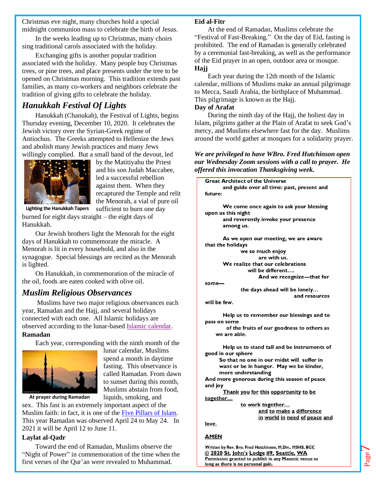Christmas eve night, many churches hold a special midnight communion mass to celebrate the birth of Jesus.

In the weeks leading up to Christmas, many choirs sing traditional carols associated with the holiday.

Exchanging gifts is another popular tradition associated with the holiday. Many people buy Christmas trees, or pine trees, and place presents under the tree to be opened on Christmas morning. This tradition extends past families, as many co-workers and neighbors celebrate the tradition of giving gifts to celebrate the holiday.

# *Hanukkah Festival Of Lights*

Hanukkah (Chanukah), the Festival of Lights, begins Thursday evening, December 10, 2020. It celebrates the Jewish victory over the Syrian-Greek regime of Antiochus. The Greeks attempted to Hellenize the Jews and abolish many Jewish practices and many Jews willingly complied. But a small band of the devout, led



by the Matitiyahu the Priest and his son Judah Maccabee, led a successful rebellion against them. When they recaptured the Temple and relit the Menorah, a vial of pure oil sufficient to burn one day

**Lighting the Hanukkah Tapers**

burned for eight days straight – the eight days of Hanukkah.

Our Jewish brothers light the Menorah for the eight days of Hanukkah to commemorate the miracle. A Menorah is lit in every household, and also in the synagogue. Special blessings are recited as the Menorah is lighted.

On Hanukkah, in commemoration of the miracle of the oil, foods are eaten cooked with olive oil.

### *Muslim Religious Observances*

Muslims have two major religious observances each year, Ramadan and the Hajj, and several holidays connected with each one. All Islamic holidays are observed according to the lunar-based [Islamic calendar.](https://www.learnreligions.com/overview-of-the-islamic-calendar-2003736) **Ramadan**

Each year, corresponding with the ninth month of the



lunar calendar, Muslims spend a month in daytime fasting. This observance is called Ramadan. From dawn to sunset during this month, Muslims abstain from food, liquids, smoking, and

**At prayer during Ramadan**

sex. This fast is an extremely important aspect of the Muslim faith: in fact, it is one of the [Five Pillars of Islam.](https://www.learnreligions.com/five-pillars-of-islam-4008936) This year Ramadan was observed April 24 to May 24. In 2021 it will be April 12 to June 11.

#### **Laylat al-Qadr**

Toward the end of Ramadan, Muslims observe the "Night of Power" in commemoration of the time when the first verses of the Qur'an were revealed to Muhammad.

#### **Eid al-Fitr**

At the end of Ramadan, Muslims celebrate the "Festival of Fast-Breaking." On the day of Eid, fasting is prohibited. The end of Ramadan is generally celebrated by a ceremonial fast-breaking, as well as the performance of the Eid prayer in an open, outdoor area or mosque. **Hajj**

Each year during the 12th month of the Islamic calendar, millions of Muslims make an annual pilgrimage to Mecca, Saudi Arabia, the birthplace of Muhammad. This pilgrimage is known as the Hajj.

#### **Day of Arafat**

During the ninth day of the Hajj, the holiest day in Islam, pilgrims gather at the Plain of Arafat to seek God's mercy, and Muslims elsewhere fast for the day. Muslims around the world gather at mosques for a solidarity prayer.

*We are privileged to have WBro. Fred Hutchinson open our Wednesday Zoom sessions with a call to prayer. He offered this invocation Thanksgiving week.*

**Great Architect of the Universe** and guide over all time: past, present and future: We come once again to ask your blessing upon us this night and reverently invoke your presence among us. As we open our meeting, we are aware that the holidays we so much enjoy are with us. We realize that our celebrations will be different.... And we recognize-that for  $some$ the days ahead will be lonely... and resources will be few. Help us to remember our blessings and to pass on some of the fruits of our goodness to others as we are able. Help us to stand tall and be instruments of good in our sphere So that no one in our midst will suffer in want or be in hunger. May we be kinder, more understanding And more generous during this season of peace and joy Thank you for this opportunity to be together... to work together... and to make a difference in world in need of peace and love.

#### **AMEN**

Written by Rev. Bro. Fred Hutchinson, M.Div., MSHS, BCC © 2020 St. John's Lodge #9, Seattle, WA Permission granted to publish in any Masonic venue so long as there is no personal gain.